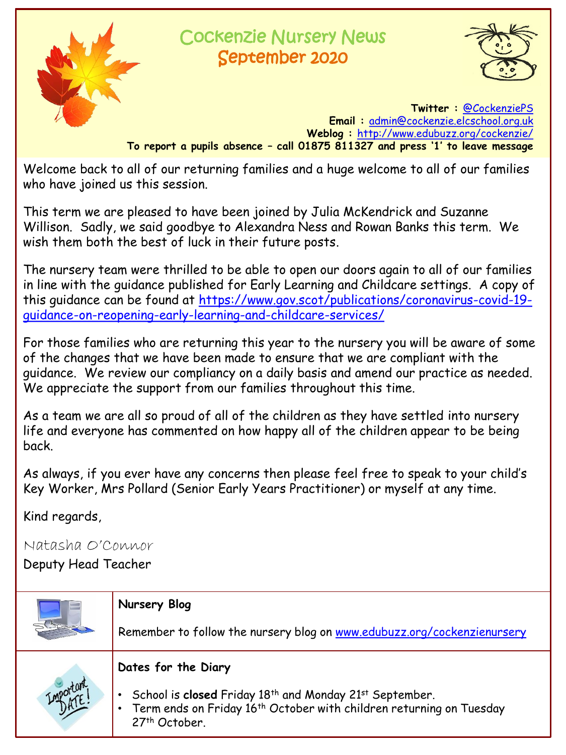

# Cockenzie Nursery News September 2020



**Twitter :** [@CockenziePS](https://twitter.com/CockenziePS) **Email :** [admin@cockenzie.elcschool.org.uk](mailto:admin@cockenzie.elcschool.org.uk) **Weblog :** <http://www.edubuzz.org/cockenzie/> **To report a pupils absence – call 01875 811327 and press '1' to leave message**

Welcome back to all of our returning families and a huge welcome to all of our families who have joined us this session.

This term we are pleased to have been joined by Julia McKendrick and Suzanne Willison. Sadly, we said goodbye to Alexandra Ness and Rowan Banks this term. We wish them both the best of luck in their future posts.

The nursery team were thrilled to be able to open our doors again to all of our families in line with the guidance published for Early Learning and Childcare settings. A copy of [this guidance can be found at https://www.gov.scot/publications/coronavirus-covid-19](https://www.gov.scot/publications/coronavirus-covid-19-guidance-on-reopening-early-learning-and-childcare-services/) guidance-on-reopening-early-learning-and-childcare-services/

For those families who are returning this year to the nursery you will be aware of some of the changes that we have been made to ensure that we are compliant with the guidance. We review our compliancy on a daily basis and amend our practice as needed. We appreciate the support from our families throughout this time.

As a team we are all so proud of all of the children as they have settled into nursery life and everyone has commented on how happy all of the children appear to be being back.

As always, if you ever have any concerns then please feel free to speak to your child's Key Worker, Mrs Pollard (Senior Early Years Practitioner) or myself at any time.

Kind regards,

Natasha O'Connor

Deputy Head Teacher

|  | Nursery Blog                                                                                                                                                                     |  |
|--|----------------------------------------------------------------------------------------------------------------------------------------------------------------------------------|--|
|  | Remember to follow the nursery blog on www.edubuzz.org/cockenzienursery                                                                                                          |  |
|  | Dates for the Diary                                                                                                                                                              |  |
|  | • School is closed Friday 18th and Monday 21st September.<br>Term ends on Friday 16 <sup>th</sup> October with children returning on Tuesday<br>$\mathcal{L}$ .<br>27th October. |  |